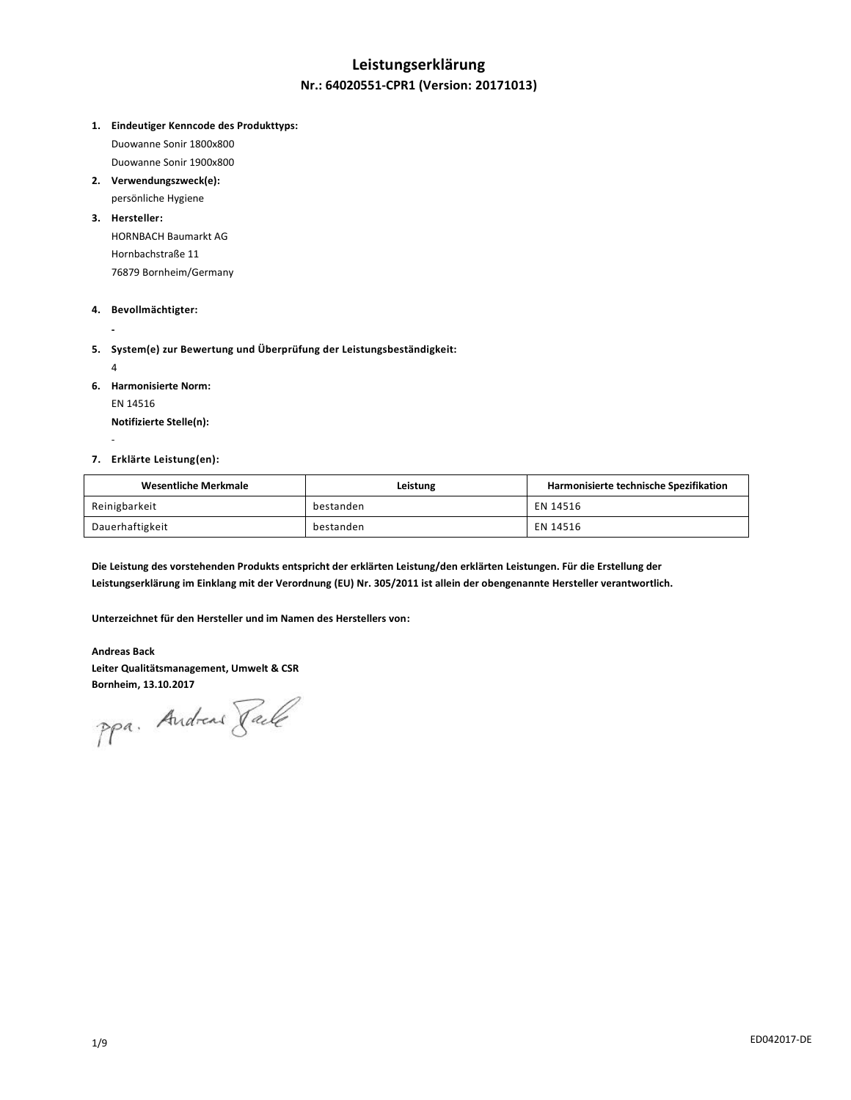# **Leistungserklärung Nr.: 64020551-CPR1 (Version: 20171013)**

**1. Eindeutiger Kenncode des Produkttyps:**

Duowanne Sonir 1800x800 Duowanne Sonir 1900x800

**2. Verwendungszweck(e):** persönliche Hygiene

### **3. Hersteller:**

HORNBACH Baumarkt AG Hornbachstraße 11 76879 Bornheim/Germany

# **4. Bevollmächtigter:**

**-**

**5. System(e) zur Bewertung und Überprüfung der Leistungsbeständigkeit:**

4

-

- **6. Harmonisierte Norm:**
	- EN 14516

**Notifizierte Stelle(n):**

#### **7. Erklärte Leistung(en):**

| Wesentliche Merkmale | Leistung  | Harmonisierte technische Spezifikation |
|----------------------|-----------|----------------------------------------|
| Reinigbarkeit        | bestanden | EN 14516                               |
| Dauerhaftigkeit      | bestanden | EN 14516                               |

**Die Leistung des vorstehenden Produkts entspricht der erklärten Leistung/den erklärten Leistungen. Für die Erstellung der Leistungserklärung im Einklang mit der Verordnung (EU) Nr. 305/2011 ist allein der obengenannte Hersteller verantwortlich.**

**Unterzeichnet für den Hersteller und im Namen des Herstellers von:**

**Andreas Back Leiter Qualitätsmanagement, Umwelt & CSR**

Bornheim, 13.10.2017<br>PPa. Andread *Jale*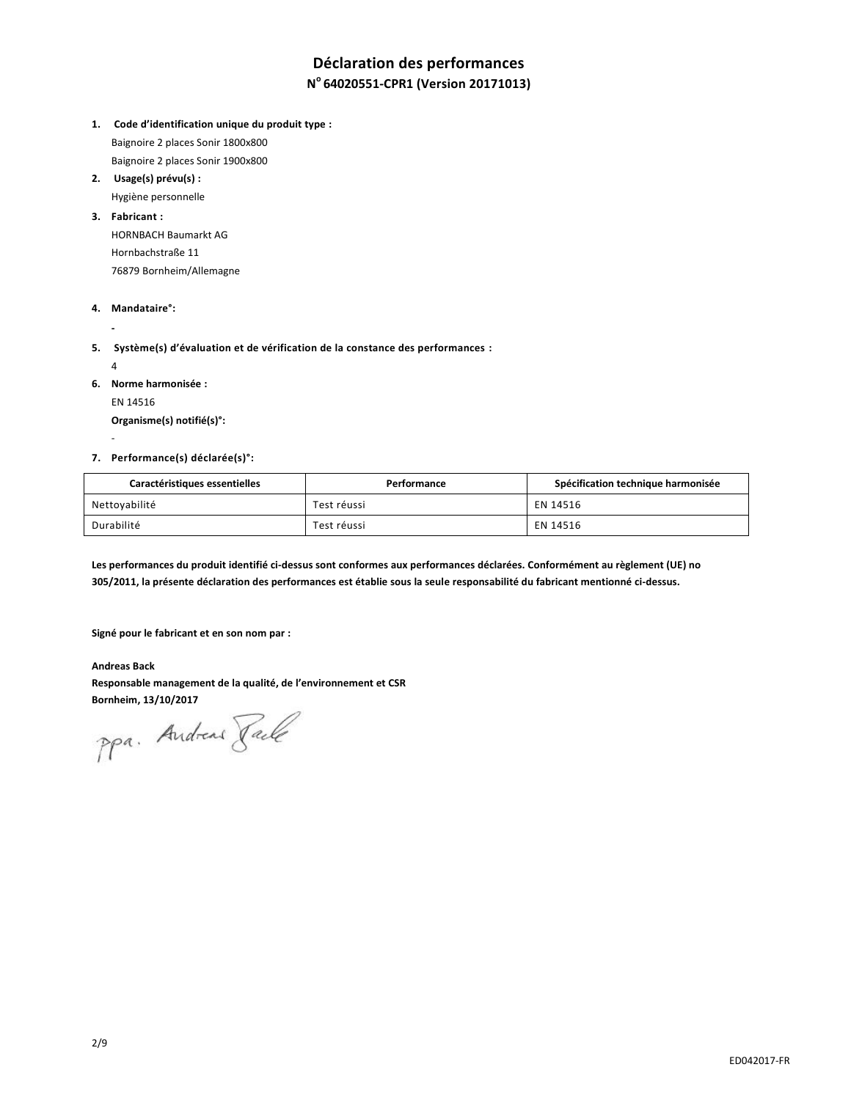# **Déclaration des performances**

# **N <sup>o</sup>64020551-CPR1 (Version 20171013)**

- **1. Code d'identification unique du produit type :** Baignoire 2 places Sonir 1800x800 Baignoire 2 places Sonir 1900x800
- **2. Usage(s) prévu(s) :**

Hygiène personnelle

### **3. Fabricant :**

HORNBACH Baumarkt AG Hornbachstraße 11 76879 Bornheim/Allemagne

#### **4. Mandataire°:**

**-**

**5. Système(s) d'évaluation et de vérification de la constance des performances :**

4

-

**6. Norme harmonisée :**

EN 14516

**Organisme(s) notifié(s)°:**

#### **7. Performance(s) déclarée(s)°:**

| Caractéristiques essentielles | Performance | Spécification technique harmonisée |
|-------------------------------|-------------|------------------------------------|
| Nettoyabilité                 | Test réussi | EN 14516                           |
| Durabilité                    | Test réussi | EN 14516                           |

**Les performances du produit identifié ci-dessus sont conformes aux performances déclarées. Conformément au règlement (UE) no 305/2011, la présente déclaration des performances est établie sous la seule responsabilité du fabricant mentionné ci-dessus.**

**Signé pour le fabricant et en son nom par :**

**Andreas Back Responsable management de la qualité, de l'environnement et CSR**

Bornheim, 13/10/2017<br>PPa. Andreas *Jale*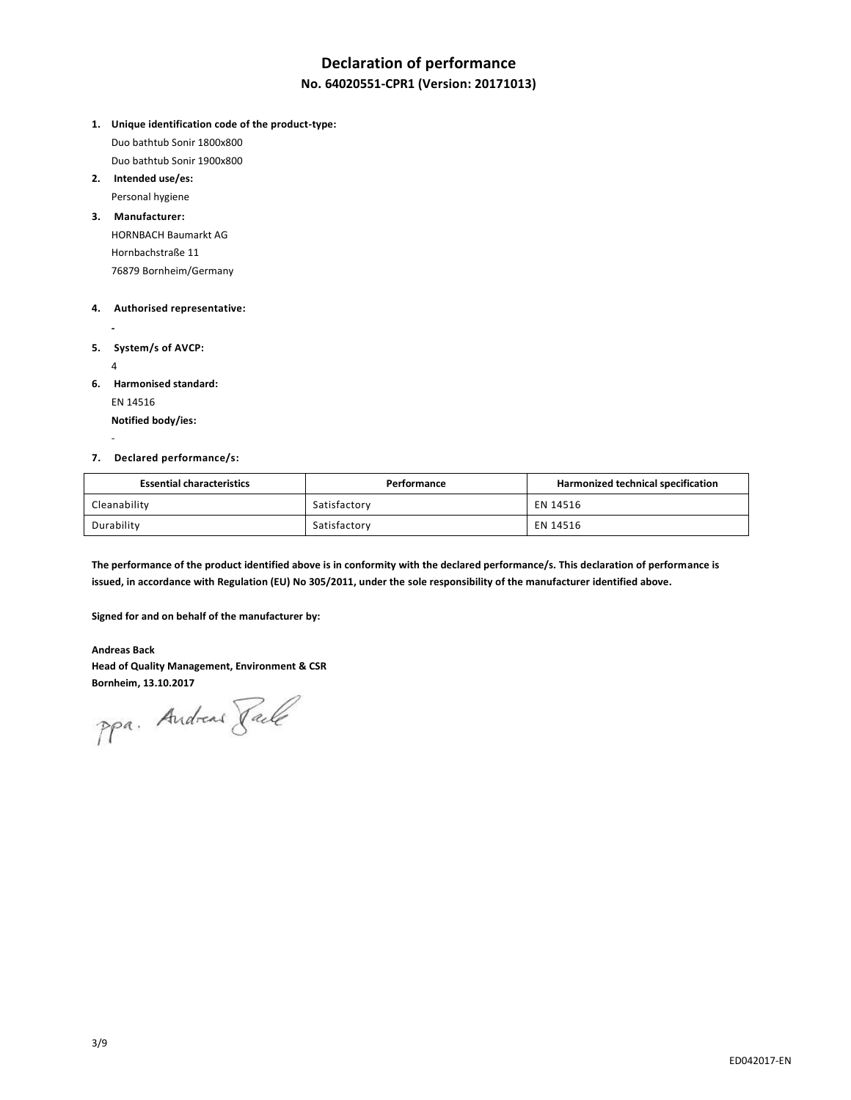# **Declaration of performance**

# **No. 64020551-CPR1 (Version: 20171013)**

- **1. Unique identification code of the product-type:** Duo bathtub Sonir 1800x800 Duo bathtub Sonir 1900x800
- **2. Intended use/es:**

Personal hygiene

**3. Manufacturer:**

HORNBACH Baumarkt AG Hornbachstraße 11 76879 Bornheim/Germany

### **4. Authorised representative:**

**5. System/s of AVCP:**

4

-

**-**

**6. Harmonised standard:**

EN 14516 **Notified body/ies:**

#### **7. Declared performance/s:**

| <b>Essential characteristics</b> | Performance  | Harmonized technical specification |
|----------------------------------|--------------|------------------------------------|
| Cleanability                     | Satisfactory | EN 14516                           |
| Durability                       | Satisfactory | EN 14516                           |

**The performance of the product identified above is in conformity with the declared performance/s. This declaration of performance is issued, in accordance with Regulation (EU) No 305/2011, under the sole responsibility of the manufacturer identified above.**

**Signed for and on behalf of the manufacturer by:**

# **Andreas Back Head of Quality Management, Environment & CSR**

**Bornheim, 13.10.2017**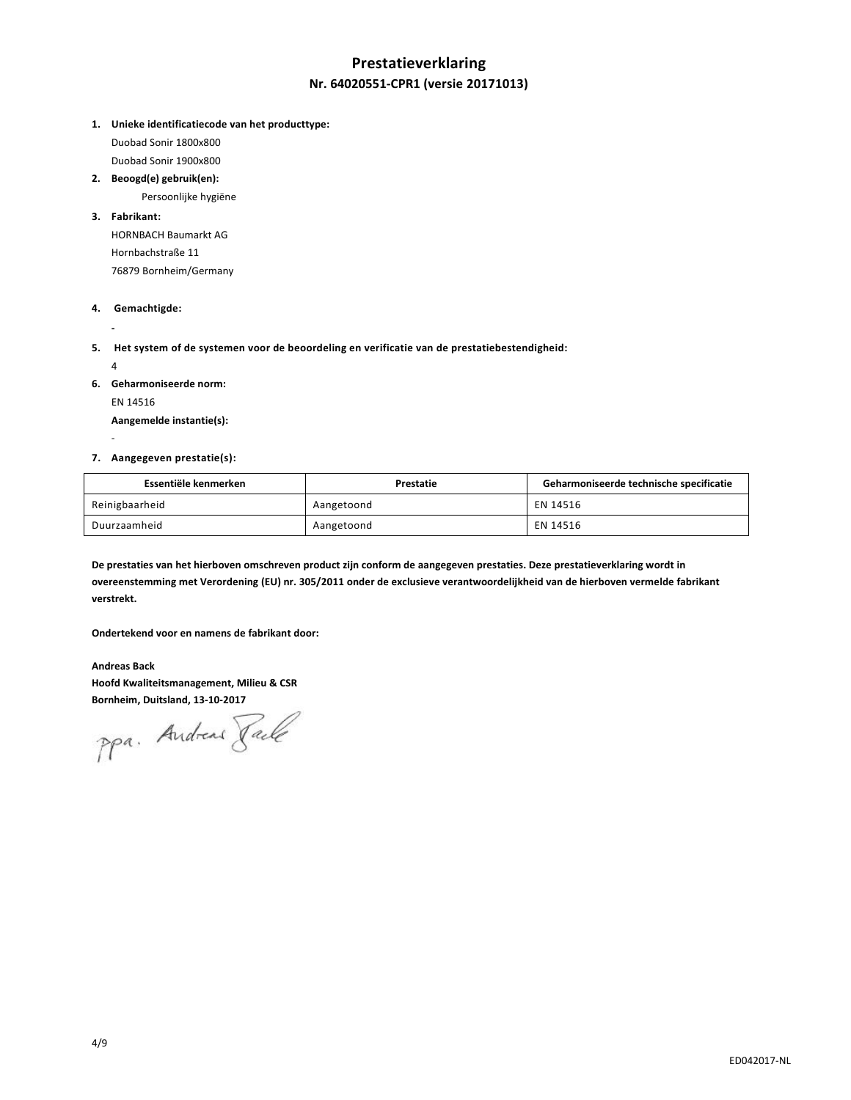# **Prestatieverklaring Nr. 64020551-CPR1 (versie 20171013)**

**1. Unieke identificatiecode van het producttype:**

Duobad Sonir 1800x800 Duobad Sonir 1900x800

**2. Beoogd(e) gebruik(en):**

Persoonlijke hygiëne

### **3. Fabrikant:**

HORNBACH Baumarkt AG Hornbachstraße 11 76879 Bornheim/Germany

# **4. Gemachtigde:**

**-**

-

- **5. Het system of de systemen voor de beoordeling en verificatie van de prestatiebestendigheid:**  4
- **6. Geharmoniseerde norm:**

EN 14516

**Aangemelde instantie(s):**

#### **7. Aangegeven prestatie(s):**

| Essentiële kenmerken | Prestatie  | Geharmoniseerde technische specificatie |
|----------------------|------------|-----------------------------------------|
| Reinigbaarheid       | Aangetoond | EN 14516                                |
| Duurzaamheid         | Aangetoond | EN 14516                                |

**De prestaties van het hierboven omschreven product zijn conform de aangegeven prestaties. Deze prestatieverklaring wordt in overeenstemming met Verordening (EU) nr. 305/2011 onder de exclusieve verantwoordelijkheid van de hierboven vermelde fabrikant verstrekt.**

**Ondertekend voor en namens de fabrikant door:**

**Andreas Back Hoofd Kwaliteitsmanagement, Milieu & CSR**

**Bornheim, Duitsland, 13-10-2017**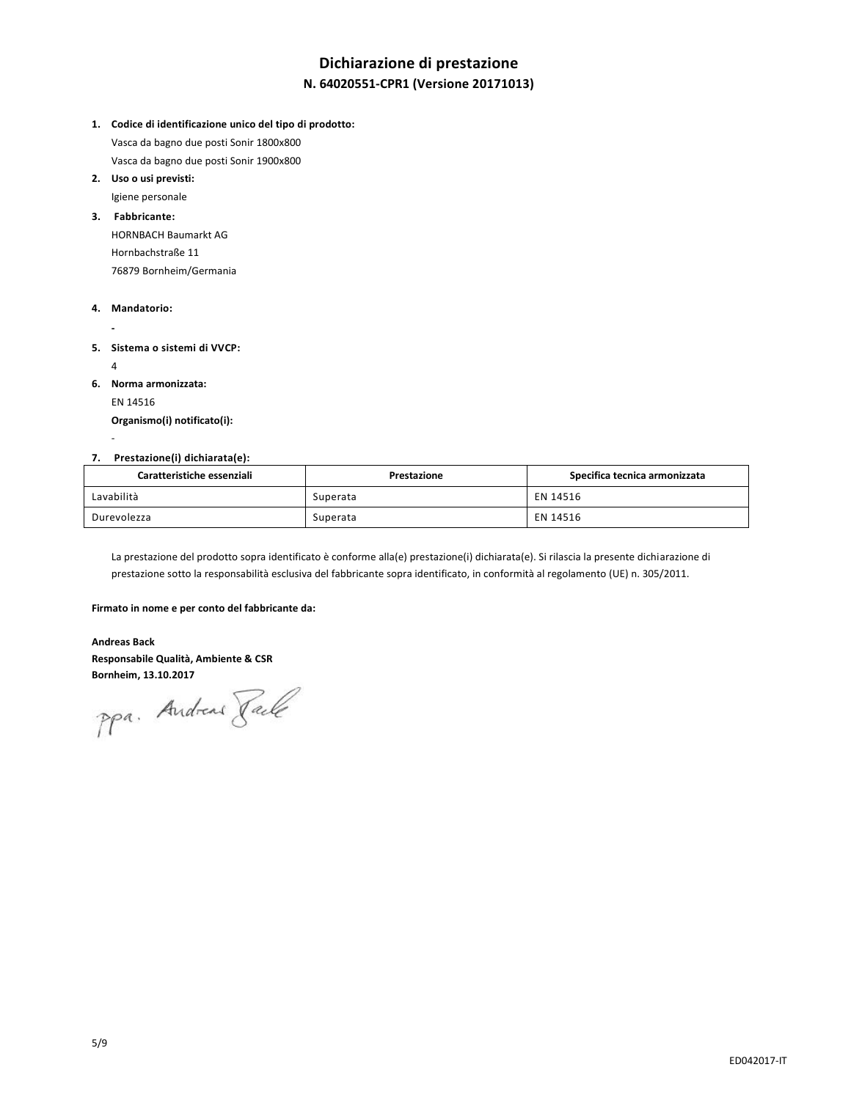# **Dichiarazione di prestazione**

# **N. 64020551-CPR1 (Versione 20171013)**

**1. Codice di identificazione unico del tipo di prodotto:** Vasca da bagno due posti Sonir 1800x800

Vasca da bagno due posti Sonir 1900x800 **2. Uso o usi previsti:**

Igiene personale

# **3. Fabbricante:**

HORNBACH Baumarkt AG Hornbachstraße 11 76879 Bornheim/Germania

### **4. Mandatorio:**

**- 5. Sistema o sistemi di VVCP:**  4

**6. Norma armonizzata:**

EN 14516

-

**Organismo(i) notificato(i):**

# **7. Prestazione(i) dichiarata(e):**

| Caratteristiche essenziali | Prestazione | Specifica tecnica armonizzata |
|----------------------------|-------------|-------------------------------|
| Lavabilità                 | Superata    | EN 14516                      |
| Durevolezza                | Superata    | EN 14516                      |

La prestazione del prodotto sopra identificato è conforme alla(e) prestazione(i) dichiarata(e). Si rilascia la presente dichiarazione di prestazione sotto la responsabilità esclusiva del fabbricante sopra identificato, in conformità al regolamento (UE) n. 305/2011.

#### **Firmato in nome e per conto del fabbricante da:**

**Andreas Back Responsabile Qualità, Ambiente & CSR**

**Bornheim, 13.10.2017**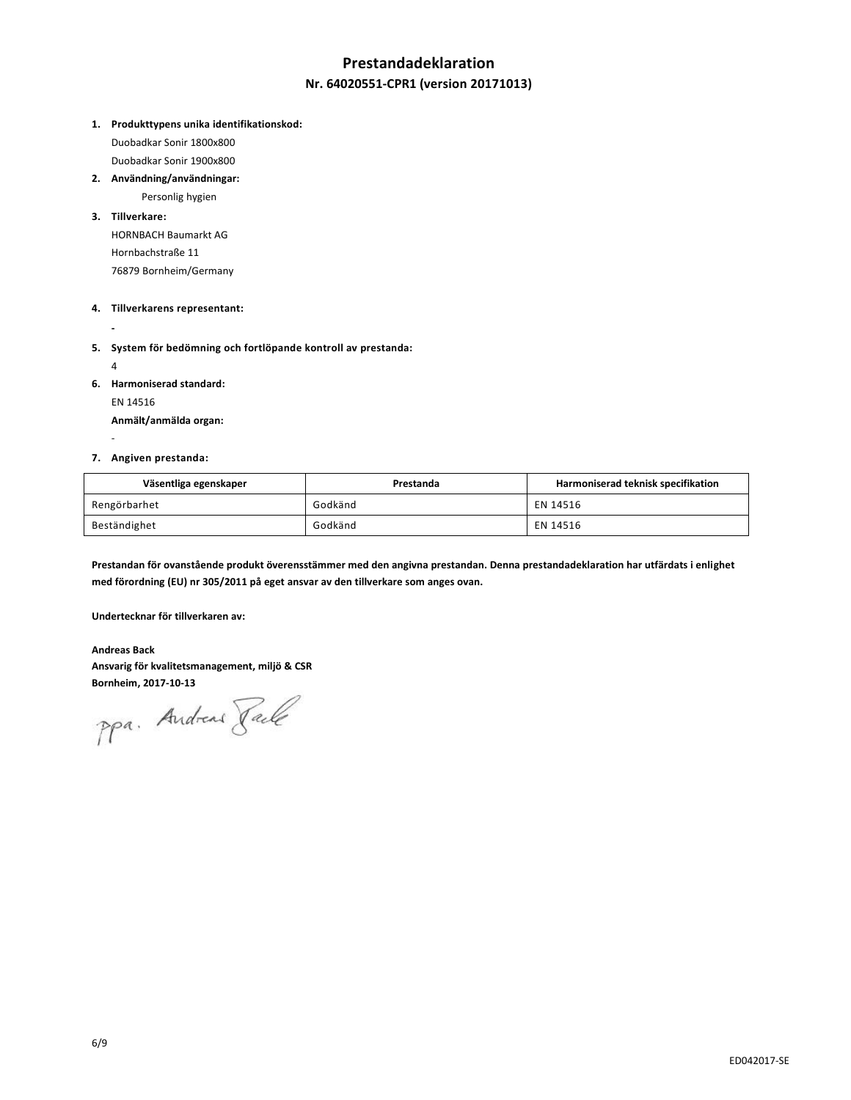# **Prestandadeklaration**

# **Nr. 64020551-CPR1 (version 20171013)**

**1. Produkttypens unika identifikationskod:**

Duobadkar Sonir 1800x800

Duobadkar Sonir 1900x800

**2. Användning/användningar:** Personlig hygien

### **3. Tillverkare:**

HORNBACH Baumarkt AG Hornbachstraße 11 76879 Bornheim/Germany

# **4. Tillverkarens representant:**

**-**

**5. System för bedömning och fortlöpande kontroll av prestanda:**

4

-

**6. Harmoniserad standard:**

EN 14516

**Anmält/anmälda organ:**

#### **7. Angiven prestanda:**

| Väsentliga egenskaper | Prestanda | Harmoniserad teknisk specifikation |
|-----------------------|-----------|------------------------------------|
| Rengörbarhet          | Godkänd   | EN 14516                           |
| Beständighet          | Godkänd   | EN 14516                           |

**Prestandan för ovanstående produkt överensstämmer med den angivna prestandan. Denna prestandadeklaration har utfärdats i enlighet med förordning (EU) nr 305/2011 på eget ansvar av den tillverkare som anges ovan.**

**Undertecknar för tillverkaren av:**

**Andreas Back Ansvarig för kvalitetsmanagement, miljö & CSR**

**Bornheim, 2017-10-13**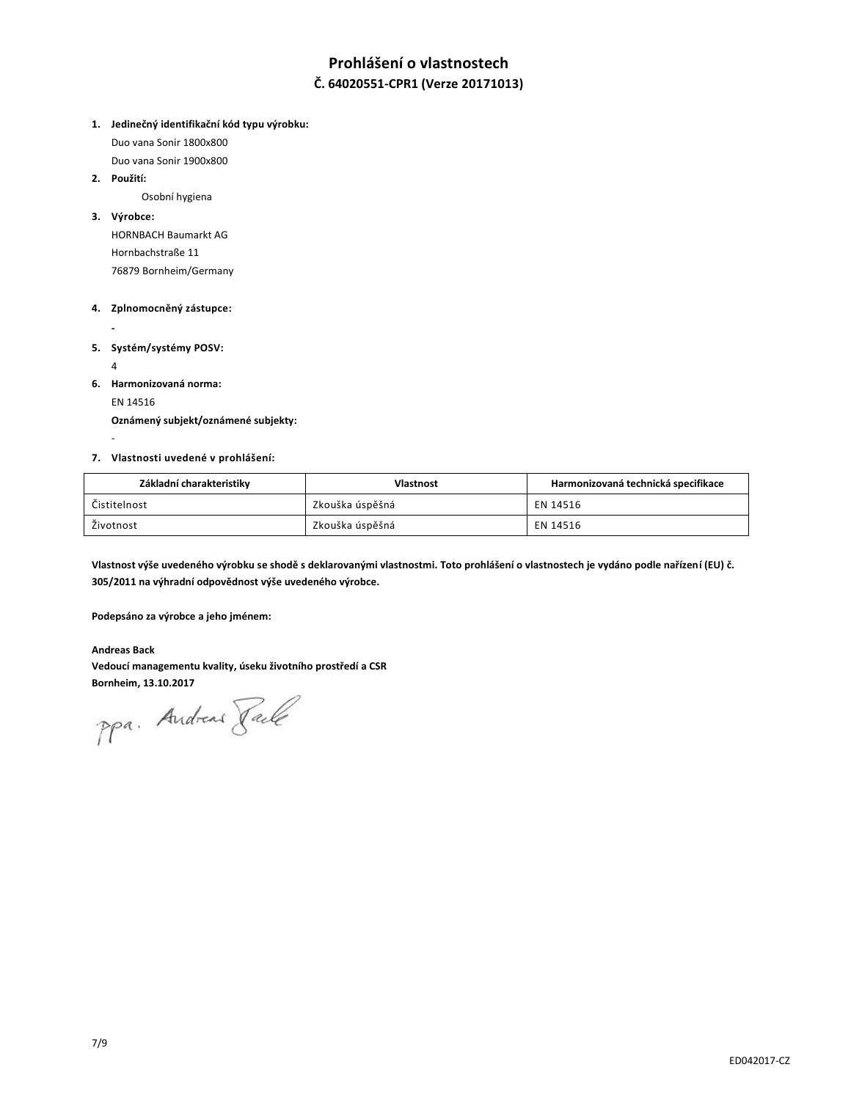# **Prohlášení o vlastnostech**

# **Č. 64020551-CPR1 (Verze 20171013)**

**1. Jedinečný identifikační kód typu výrobku:**

Duo vana Sonir 1800x800

Duo vana Sonir 1900x800

**2. Použití:**

Osobní hygiena

### **3. Výrobce:**

HORNBACH Baumarkt AG Hornbachstraße 11 76879 Bornheim/Germany

# **4. Zplnomocněný zástupce:**

**-**

**5. Systém/systémy POSV:**

4

-

**6. Harmonizovaná norma:**

EN 14516

**Oznámený subjekt/oznámené subjekty:**

**7. Vlastnosti uvedené v prohlášení:**

| Základní charakteristiky | <b>Vlastnost</b> | Harmonizovaná technická specifikace |
|--------------------------|------------------|-------------------------------------|
| Čistitelnost             | Zkouška úspěšná  | EN 14516                            |
| Životnost                | Zkouška úspěšná  | EN 14516                            |

**Vlastnost výše uvedeného výrobku se shodě s deklarovanými vlastnostmi. Toto prohlášení o vlastnostech je vydáno podle nařízení (EU) č. 305/2011 na výhradní odpovědnost výše uvedeného výrobce.**

**Podepsáno za výrobce a jeho jménem:**

**Andreas Back Vedoucí managementu kvality, úseku životního prostředí a CSR**

**Bornheim, 13.10.2017**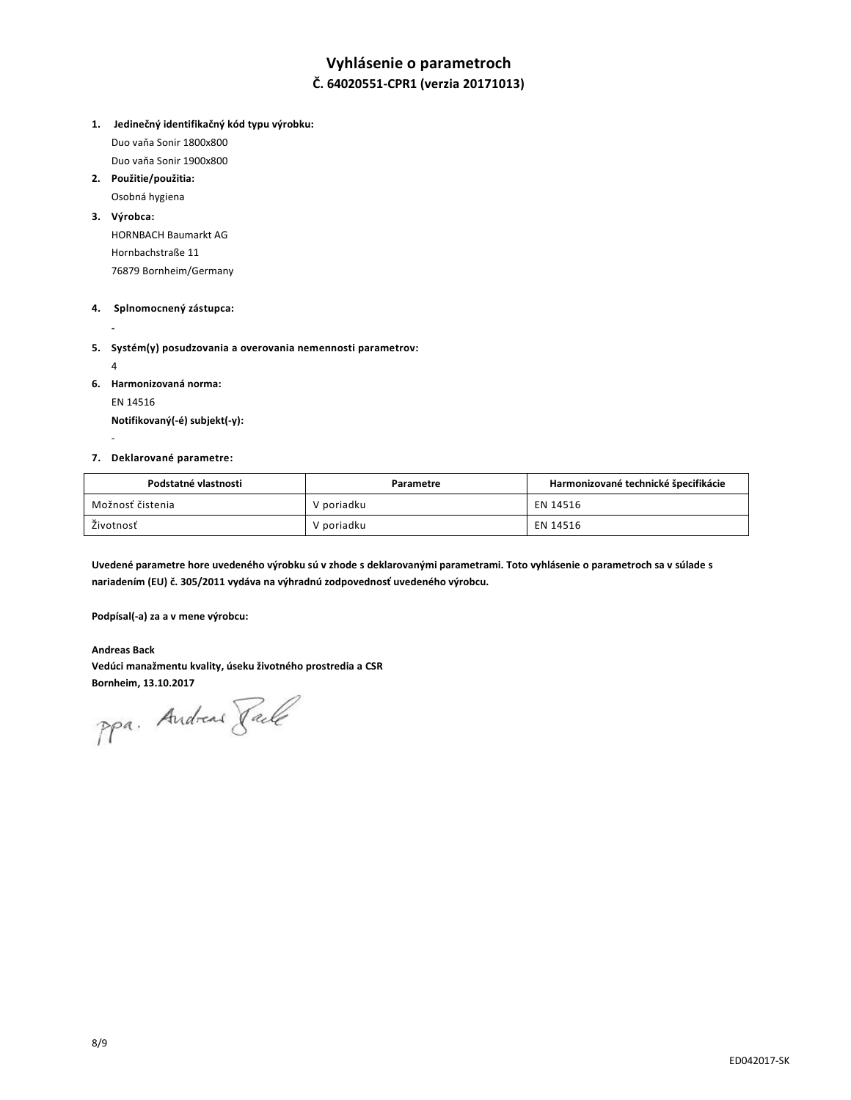# **Vyhlásenie o parametroch**

# **Č. 64020551-CPR1 (verzia 20171013)**

**1. Jedinečný identifikačný kód typu výrobku:** 

Duo vaňa Sonir 1800x800 Duo vaňa Sonir 1900x800

**2. Použitie/použitia:** 

Osobná hygiena

### **3. Výrobca:**

HORNBACH Baumarkt AG Hornbachstraße 11 76879 Bornheim/Germany

#### **4. Splnomocnený zástupca:**

**-**

**5. Systém(y) posudzovania a overovania nemennosti parametrov:** 

4

-

**6. Harmonizovaná norma:**

EN 14516

**Notifikovaný(-é) subjekt(-y):**

#### **7. Deklarované parametre:**

| Podstatné vlastnosti | Parametre  | Harmonizované technické špecifikácie |
|----------------------|------------|--------------------------------------|
| Možnosť čistenia     | V poriadku | EN 14516                             |
| Životnosť            | V poriadku | EN 14516                             |

**Uvedené parametre hore uvedeného výrobku sú v zhode s deklarovanými parametrami. Toto vyhlásenie o parametroch sa v súlade s nariadením (EU) č. 305/2011 vydáva na výhradnú zodpovednosť uvedeného výrobcu.**

**Podpísal(-a) za a v mene výrobcu:**

**Andreas Back Vedúci manažmentu kvality, úseku životného prostredia a CSR**

**Bornheim, 13.10.2017**